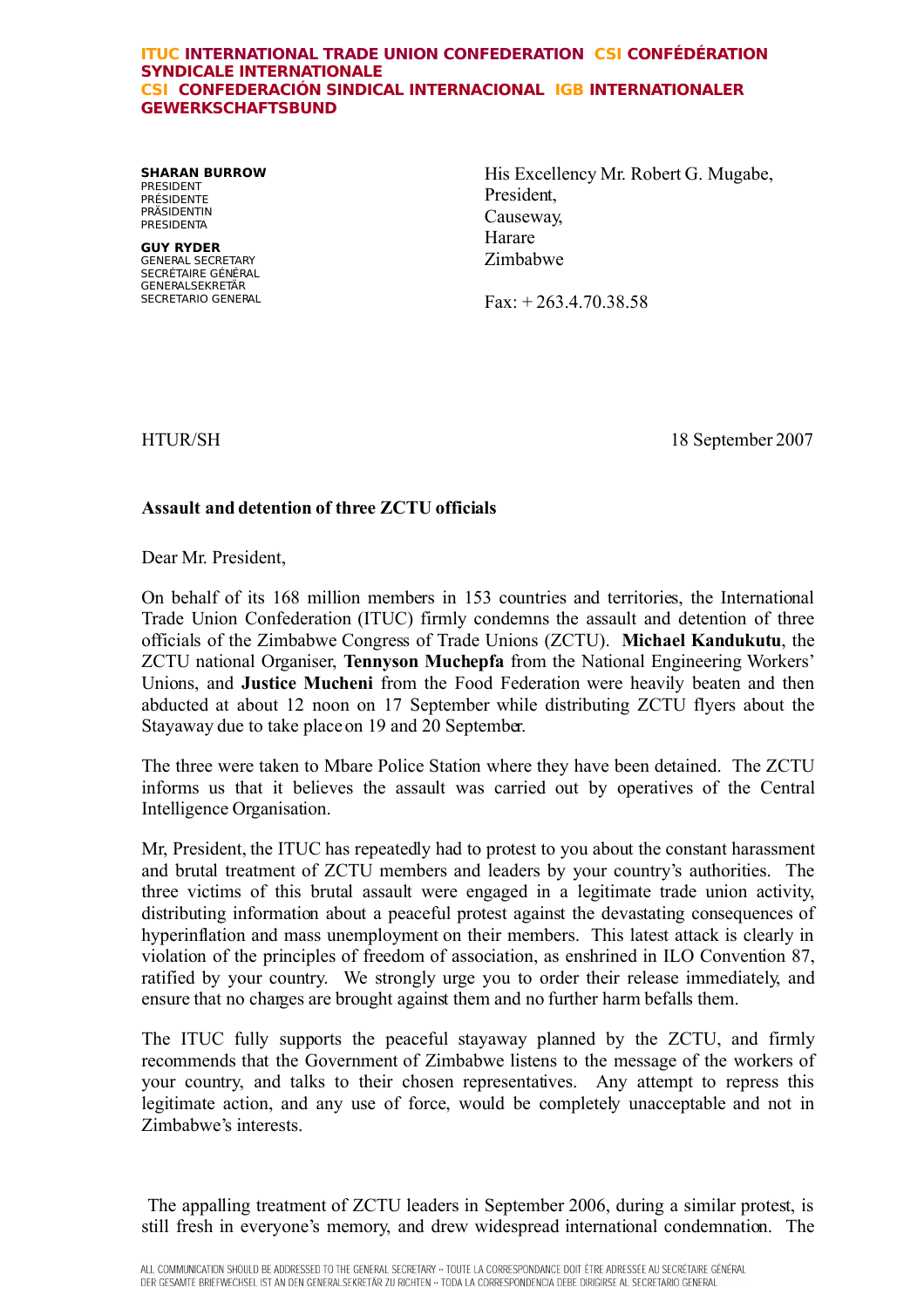## **ITUC INTERNATIONAL TRADE UNION CONFEDERATION CSI CONFÉDÉRATION SYNDICALE INTERNATIONALE CSI CONFEDERACIÓN SINDICAL INTERNACIONAL IGB INTERNATIONALER GEWERKSCHAFTSBUND**

**SHARAN BURROW** PRESIDENT PRÉSIDENTE **PRÄSIDENTIN PRESIDENTA** 

**GUY RYDER** GENERAL SECRETARY SECRÉTAIRE GÉNÉRAL GENERALSEKRETÄR SECRETARIO GENERAL His Excellency Mr. Robert G. Mugabe, President, Causeway, Harare Zimbabwe

Fax: + 263.4.70.38.58

HTUR/SH 18 September 2007

## **Assault and detention of three ZCTU officials**

Dear Mr. President,

On behalf of its 168 million members in 153 countries and territories, the International Trade Union Confederation (ITUC) firmly condemns the assault and detention of three officials of the Zimbabwe Congress of Trade Unions (ZCTU). **Michael Kandukutu**, the ZCTU national Organiser, **Tennyson Muchepfa** from the National Engineering Workers' Unions, and **Justice Mucheni** from the Food Federation were heavily beaten and then abducted at about 12 noon on 17 September while distributing ZCTU flyers about the Stayaway due to take place on 19 and 20 September.

The three were taken to Mbare Police Station where they have been detained. The ZCTU informs us that it believes the assault was carried out by operatives of the Central Intelligence Organisation.

Mr, President, the ITUC has repeatedly had to protest to you about the constant harassment and brutal treatment of ZCTU members and leaders by your country's authorities. The three victims of this brutal assault were engaged in a legitimate trade union activity, distributing information about a peaceful protest against the devastating consequences of hyperinflation and mass unemployment on their members. This latest attack is clearly in violation of the principles of freedom of association, as enshrined in ILO Convention 87, ratified by your country. We strongly urge you to order their release immediately, and ensure that no charges are brought against them and no further harm befalls them.

The ITUC fully supports the peaceful stayaway planned by the ZCTU, and firmly recommends that the Government of Zimbabwe listens to the message of the workers of your country, and talks to their chosen representatives. Any attempt to repress this legitimate action, and any use of force, would be completely unacceptable and not in Zimbabwe's interests.

The appalling treatment of ZCTU leaders in September 2006, during a similar protest, is still fresh in everyone's memory, and drew widespread international condemnation. The